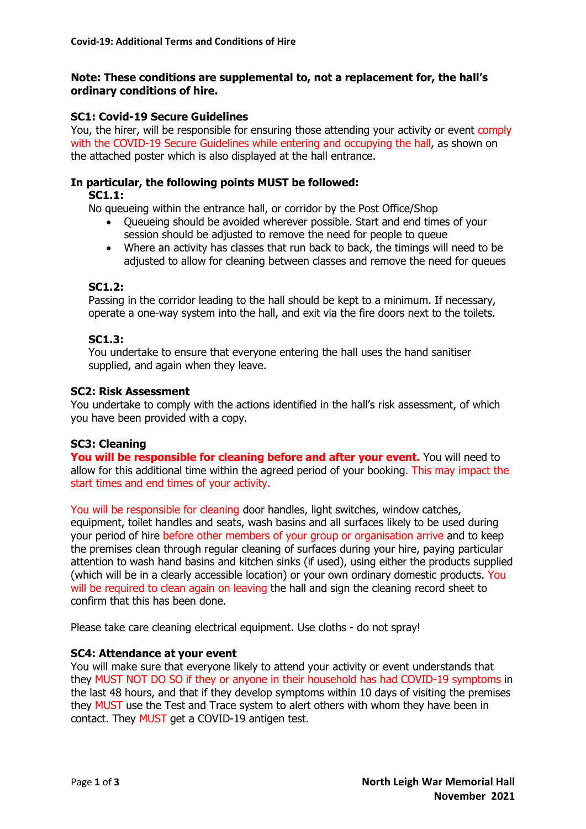## **Note: These conditions are supplemental to, not a replacement for, the hall's ordinary conditions of hire.**

## **SC1: Covid-19 Secure Guidelines**

You, the hirer, will be responsible for ensuring those attending your activity or event comply with the COVID-19 Secure Guidelines while entering and occupying the hall, as shown on the attached poster which is also displayed at the hall entrance.

## **In particular, the following points MUST be followed:**

## **SC1.1:**

No queueing within the entrance hall, or corridor by the Post Office/Shop

- Queueing should be avoided wherever possible. Start and end times of your session should be adjusted to remove the need for people to queue
- Where an activity has classes that run back to back, the timings will need to be adjusted to allow for cleaning between classes and remove the need for queues

## **SC1.2:**

Passing in the corridor leading to the hall should be kept to a minimum. If necessary, operate a one-way system into the hall, and exit via the fire doors next to the toilets.

## **SC1.3:**

You undertake to ensure that everyone entering the hall uses the hand sanitiser supplied, and again when they leave.

## **SC2: Risk Assessment**

You undertake to comply with the actions identified in the hall's risk assessment, of which you have been provided with a copy.

## **SC3: Cleaning**

**You will be responsible for cleaning before and after your event.** You will need to allow for this additional time within the agreed period of your booking. This may impact the start times and end times of your activity.

You will be responsible for cleaning door handles, light switches, window catches, equipment, toilet handles and seats, wash basins and all surfaces likely to be used during your period of hire before other members of your group or organisation arrive and to keep the premises clean through regular cleaning of surfaces during your hire, paying particular attention to wash hand basins and kitchen sinks (if used), using either the products supplied (which will be in a clearly accessible location) or your own ordinary domestic products. You will be required to clean again on leaving the hall and sign the cleaning record sheet to confirm that this has been done.

Please take care cleaning electrical equipment. Use cloths - do not spray!

## **SC4: Attendance at your event**

You will make sure that everyone likely to attend your activity or event understands that they MUST NOT DO SO if they or anyone in their household has had COVID-19 symptoms in the last 48 hours, and that if they develop symptoms within 10 days of visiting the premises they MUST use the Test and Trace system to alert others with whom they have been in contact. They MUST get a COVID-19 antigen test.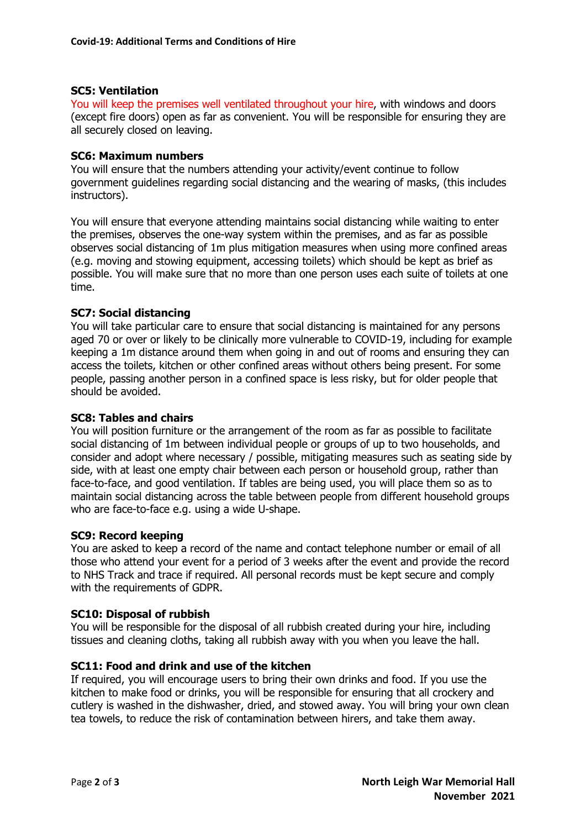### **SC5: Ventilation**

You will keep the premises well ventilated throughout your hire, with windows and doors (except fire doors) open as far as convenient. You will be responsible for ensuring they are all securely closed on leaving.

### **SC6: Maximum numbers**

You will ensure that the numbers attending your activity/event continue to follow government guidelines regarding social distancing and the wearing of masks, (this includes instructors).

You will ensure that everyone attending maintains social distancing while waiting to enter the premises, observes the one-way system within the premises, and as far as possible observes social distancing of 1m plus mitigation measures when using more confined areas (e.g. moving and stowing equipment, accessing toilets) which should be kept as brief as possible. You will make sure that no more than one person uses each suite of toilets at one time.

### **SC7: Social distancing**

You will take particular care to ensure that social distancing is maintained for any persons aged 70 or over or likely to be clinically more vulnerable to COVID-19, including for example keeping a 1m distance around them when going in and out of rooms and ensuring they can access the toilets, kitchen or other confined areas without others being present. For some people, passing another person in a confined space is less risky, but for older people that should be avoided.

#### **SC8: Tables and chairs**

You will position furniture or the arrangement of the room as far as possible to facilitate social distancing of 1m between individual people or groups of up to two households, and consider and adopt where necessary / possible, mitigating measures such as seating side by side, with at least one empty chair between each person or household group, rather than face-to-face, and good ventilation. If tables are being used, you will place them so as to maintain social distancing across the table between people from different household groups who are face-to-face e.g. using a wide U-shape.

#### **SC9: Record keeping**

You are asked to keep a record of the name and contact telephone number or email of all those who attend your event for a period of 3 weeks after the event and provide the record to NHS Track and trace if required. All personal records must be kept secure and comply with the requirements of GDPR.

#### **SC10: Disposal of rubbish**

You will be responsible for the disposal of all rubbish created during your hire, including tissues and cleaning cloths, taking all rubbish away with you when you leave the hall.

#### **SC11: Food and drink and use of the kitchen**

If required, you will encourage users to bring their own drinks and food. If you use the kitchen to make food or drinks, you will be responsible for ensuring that all crockery and cutlery is washed in the dishwasher, dried, and stowed away. You will bring your own clean tea towels, to reduce the risk of contamination between hirers, and take them away.